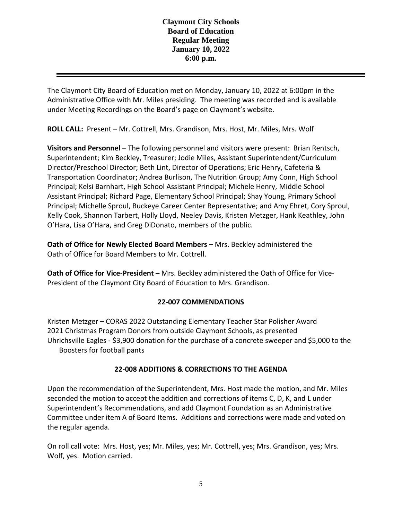The Claymont City Board of Education met on Monday, January 10, 2022 at 6:00pm in the Administrative Office with Mr. Miles presiding. The meeting was recorded and is available under Meeting Recordings on the Board's page on Claymont's website.

**ROLL CALL:** Present – Mr. Cottrell, Mrs. Grandison, Mrs. Host, Mr. Miles, Mrs. Wolf

**Visitors and Personnel** – The following personnel and visitors were present: Brian Rentsch, Superintendent; Kim Beckley, Treasurer; Jodie Miles, Assistant Superintendent/Curriculum Director/Preschool Director; Beth Lint, Director of Operations; Eric Henry, Cafeteria & Transportation Coordinator; Andrea Burlison, The Nutrition Group; Amy Conn, High School Principal; Kelsi Barnhart, High School Assistant Principal; Michele Henry, Middle School Assistant Principal; Richard Page, Elementary School Principal; Shay Young, Primary School Principal; Michelle Sproul, Buckeye Career Center Representative; and Amy Ehret, Cory Sproul, Kelly Cook, Shannon Tarbert, Holly Lloyd, Neeley Davis, Kristen Metzger, Hank Keathley, John O'Hara, Lisa O'Hara, and Greg DiDonato, members of the public.

**Oath of Office for Newly Elected Board Members –** Mrs. Beckley administered the Oath of Office for Board Members to Mr. Cottrell.

**Oath of Office for Vice-President –** Mrs. Beckley administered the Oath of Office for Vice-President of the Claymont City Board of Education to Mrs. Grandison.

# **22-007 COMMENDATIONS**

Kristen Metzger – CORAS 2022 Outstanding Elementary Teacher Star Polisher Award 2021 Christmas Program Donors from outside Claymont Schools, as presented Uhrichsville Eagles - \$3,900 donation for the purchase of a concrete sweeper and \$5,000 to the Boosters for football pants

## **22-008 ADDITIONS & CORRECTIONS TO THE AGENDA**

Upon the recommendation of the Superintendent, Mrs. Host made the motion, and Mr. Miles seconded the motion to accept the addition and corrections of items C, D, K, and L under Superintendent's Recommendations, and add Claymont Foundation as an Administrative Committee under item A of Board Items. Additions and corrections were made and voted on the regular agenda.

On roll call vote: Mrs. Host, yes; Mr. Miles, yes; Mr. Cottrell, yes; Mrs. Grandison, yes; Mrs. Wolf, yes. Motion carried.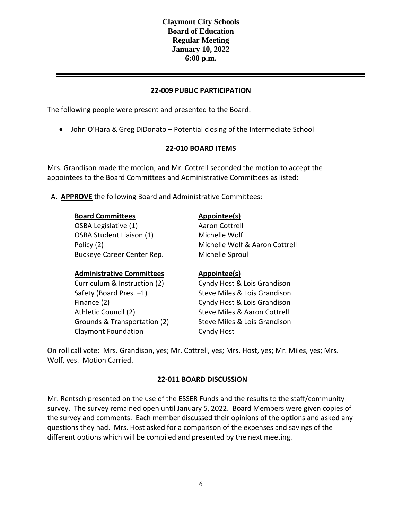#### **22-009 PUBLIC PARTICIPATION**

The following people were present and presented to the Board:

• John O'Hara & Greg DiDonato – Potential closing of the Intermediate School

#### **22-010 BOARD ITEMS**

Mrs. Grandison made the motion, and Mr. Cottrell seconded the motion to accept the appointees to the Board Committees and Administrative Committees as listed:

A. **APPROVE** the following Board and Administrative Committees:

| <b>Board Committees</b>    | Appointee(s)                   |
|----------------------------|--------------------------------|
| OSBA Legislative (1)       | Aaron Cottrell                 |
| OSBA Student Liaison (1)   | Michelle Wolf                  |
| Policy (2)                 | Michelle Wolf & Aaron Cottrell |
| Buckeye Career Center Rep. | Michelle Sproul                |
|                            |                                |

#### **Administrative Committees Appointee(s)**

Curriculum & Instruction (2) Cyndy Host & Lois Grandison Safety (Board Pres. +1) Steve Miles & Lois Grandison Finance (2) **Cyndy Host & Lois Grandison** Athletic Council (2) Steve Miles & Aaron Cottrell Grounds & Transportation (2) Claymont Foundation

Steve Miles & Lois Grandison Cyndy Host

On roll call vote: Mrs. Grandison, yes; Mr. Cottrell, yes; Mrs. Host, yes; Mr. Miles, yes; Mrs. Wolf, yes. Motion Carried.

#### **22-011 BOARD DISCUSSION**

Mr. Rentsch presented on the use of the ESSER Funds and the results to the staff/community survey. The survey remained open until January 5, 2022. Board Members were given copies of the survey and comments. Each member discussed their opinions of the options and asked any questions they had. Mrs. Host asked for a comparison of the expenses and savings of the different options which will be compiled and presented by the next meeting.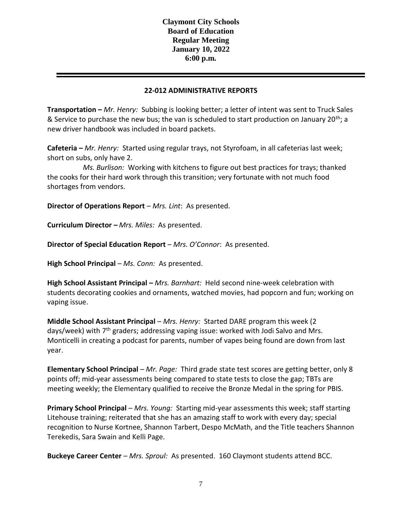#### **22-012 ADMINISTRATIVE REPORTS**

**Transportation –** *Mr. Henry:* Subbing is looking better; a letter of intent was sent to Truck Sales & Service to purchase the new bus; the van is scheduled to start production on January 20<sup>th</sup>; a new driver handbook was included in board packets.

**Cafeteria –** *Mr. Henry:* Started using regular trays, not Styrofoam, in all cafeterias last week; short on subs, only have 2.

 *Ms. Burlison:* Working with kitchens to figure out best practices for trays; thanked the cooks for their hard work through this transition; very fortunate with not much food shortages from vendors.

**Director of Operations Report** – *Mrs. Lint*: As presented.

**Curriculum Director –** *Mrs. Miles:* As presented.

**Director of Special Education Report** – *Mrs. O'Connor*: As presented.

**High School Principal** *– Ms. Conn:* As presented.

**High School Assistant Principal –** *Mrs. Barnhart:* Held second nine-week celebration with students decorating cookies and ornaments, watched movies, had popcorn and fun; working on vaping issue.

**Middle School Assistant Principal** – *Mrs. Henry:* Started DARE program this week (2 days/week) with  $7<sup>th</sup>$  graders; addressing vaping issue: worked with Jodi Salvo and Mrs. Monticelli in creating a podcast for parents, number of vapes being found are down from last year.

**Elementary School Principal** – *Mr. Page:* Third grade state test scores are getting better, only 8 points off; mid-year assessments being compared to state tests to close the gap; TBTs are meeting weekly; the Elementary qualified to receive the Bronze Medal in the spring for PBIS.

**Primary School Principal** – *Mrs. Young:* Starting mid-year assessments this week; staff starting Litehouse training; reiterated that she has an amazing staff to work with every day; special recognition to Nurse Kortnee, Shannon Tarbert, Despo McMath, and the Title teachers Shannon Terekedis, Sara Swain and Kelli Page.

**Buckeye Career Center** – *Mrs. Sproul:* As presented. 160 Claymont students attend BCC.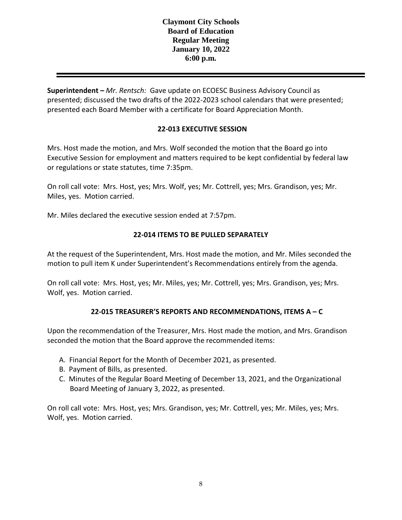**Superintendent –** *Mr. Rentsch:* Gave update on ECOESC Business Advisory Council as presented; discussed the two drafts of the 2022-2023 school calendars that were presented; presented each Board Member with a certificate for Board Appreciation Month.

# **22-013 EXECUTIVE SESSION**

Mrs. Host made the motion, and Mrs. Wolf seconded the motion that the Board go into Executive Session for employment and matters required to be kept confidential by federal law or regulations or state statutes, time 7:35pm.

On roll call vote: Mrs. Host, yes; Mrs. Wolf, yes; Mr. Cottrell, yes; Mrs. Grandison, yes; Mr. Miles, yes. Motion carried.

Mr. Miles declared the executive session ended at 7:57pm.

## **22-014 ITEMS TO BE PULLED SEPARATELY**

At the request of the Superintendent, Mrs. Host made the motion, and Mr. Miles seconded the motion to pull item K under Superintendent's Recommendations entirely from the agenda.

On roll call vote: Mrs. Host, yes; Mr. Miles, yes; Mr. Cottrell, yes; Mrs. Grandison, yes; Mrs. Wolf, yes. Motion carried.

## **22-015 TREASURER'S REPORTS AND RECOMMENDATIONS, ITEMS A – C**

Upon the recommendation of the Treasurer, Mrs. Host made the motion, and Mrs. Grandison seconded the motion that the Board approve the recommended items:

- A. Financial Report for the Month of December 2021, as presented.
- B. Payment of Bills, as presented.
- C. Minutes of the Regular Board Meeting of December 13, 2021, and the Organizational Board Meeting of January 3, 2022, as presented.

On roll call vote: Mrs. Host, yes; Mrs. Grandison, yes; Mr. Cottrell, yes; Mr. Miles, yes; Mrs. Wolf, yes. Motion carried.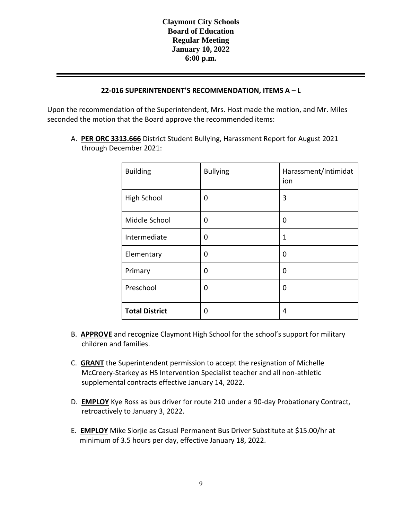### **22-016 SUPERINTENDENT'S RECOMMENDATION, ITEMS A – L**

Upon the recommendation of the Superintendent, Mrs. Host made the motion, and Mr. Miles seconded the motion that the Board approve the recommended items:

A. **PER ORC 3313.666** District Student Bullying, Harassment Report for August 2021 through December 2021:

| <b>Building</b>       | <b>Bullying</b> | Harassment/Intimidat<br>ion |
|-----------------------|-----------------|-----------------------------|
| <b>High School</b>    | 0               | 3                           |
| Middle School         | 0               | 0                           |
| Intermediate          | 0               | 1                           |
| Elementary            | 0               | 0                           |
| Primary               | 0               | 0                           |
| Preschool             | 0               | 0                           |
| <b>Total District</b> | 0               | 4                           |

- B. **APPROVE** and recognize Claymont High School for the school's support for military children and families.
- C. **GRANT** the Superintendent permission to accept the resignation of Michelle McCreery-Starkey as HS Intervention Specialist teacher and all non-athletic supplemental contracts effective January 14, 2022.
- D. **EMPLOY** Kye Ross as bus driver for route 210 under a 90-day Probationary Contract, retroactively to January 3, 2022.
- E. **EMPLOY** Mike Slorjie as Casual Permanent Bus Driver Substitute at \$15.00/hr at minimum of 3.5 hours per day, effective January 18, 2022.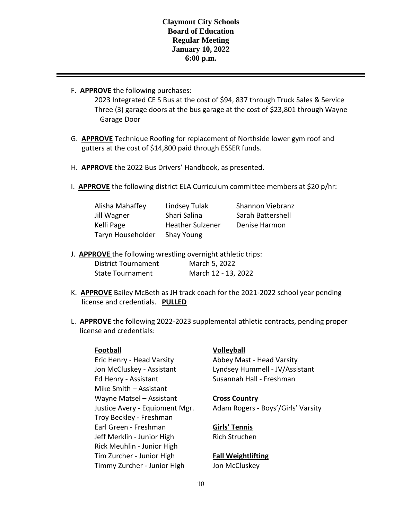F. **APPROVE** the following purchases:

2023 Integrated CE S Bus at the cost of \$94, 837 through Truck Sales & Service Three (3) garage doors at the bus garage at the cost of \$23,801 through Wayne Garage Door

- G. **APPROVE** Technique Roofing for replacement of Northside lower gym roof and gutters at the cost of \$14,800 paid through ESSER funds.
- H. **APPROVE** the 2022 Bus Drivers' Handbook, as presented.
- I. **APPROVE** the following district ELA Curriculum committee members at \$20 p/hr:

| Alisha Mahaffey   | Lindsey Tulak           | Shannon Viebranz  |
|-------------------|-------------------------|-------------------|
| Jill Wagner       | Shari Salina            | Sarah Battershell |
| Kelli Page        | <b>Heather Sulzener</b> | Denise Harmon     |
| Taryn Householder | Shay Young              |                   |

J. **APPROVE** the following wrestling overnight athletic trips:

| <b>District Tournament</b> | March 5, 2022       |
|----------------------------|---------------------|
| <b>State Tournament</b>    | March 12 - 13, 2022 |

- K. **APPROVE** Bailey McBeth as JH track coach for the 2021-2022 school year pending license and credentials. **PULLED**
- L. **APPROVE** the following 2022-2023 supplemental athletic contracts, pending proper license and credentials:

Eric Henry - Head Varsity Abbey Mast - Head Varsity Ed Henry - Assistant Susannah Hall - Freshman Mike Smith – Assistant Wayne Matsel – Assistant **Cross Country** Troy Beckley - Freshman Earl Green - Freshman **Girls' Tennis** Jeff Merklin - Junior High Rich Struchen Rick Meuhlin - Junior High Tim Zurcher - Junior High **Fall Weightlifting** Timmy Zurcher - Junior High Jon McCluskey

## **Football Volleyball**

Jon McCluskey - Assistant Lyndsey Hummell - JV/Assistant

Justice Avery - Equipment Mgr. Adam Rogers - Boys'/Girls' Varsity